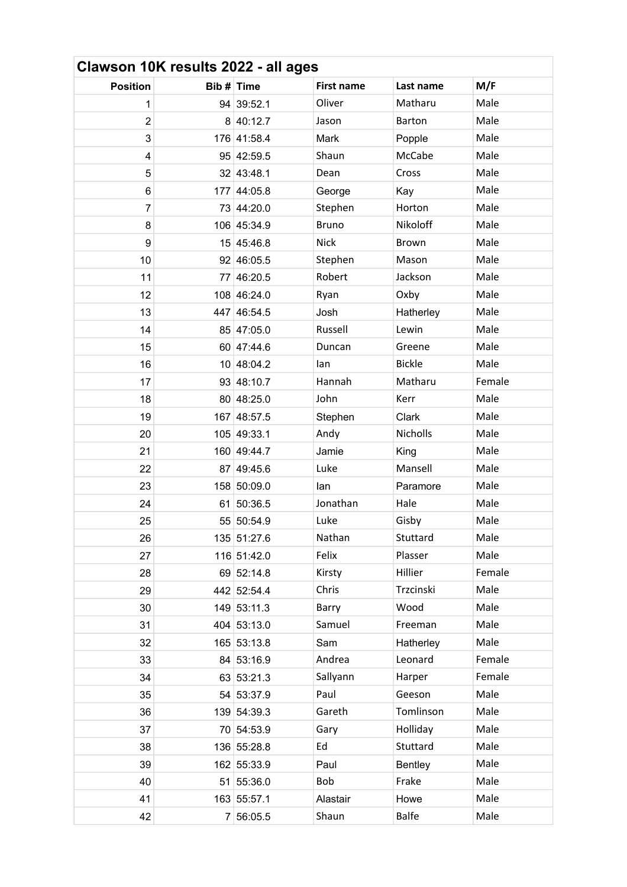| Clawson 10K results 2022 - all ages |            |             |                   |                |        |  |
|-------------------------------------|------------|-------------|-------------------|----------------|--------|--|
| <b>Position</b>                     | Bib # Time |             | <b>First name</b> | Last name      | M/F    |  |
| 1                                   |            | 94 39:52.1  | Oliver            | Matharu        | Male   |  |
| $\overline{2}$                      |            | 8 40:12.7   | Jason             | <b>Barton</b>  | Male   |  |
| 3                                   |            | 176 41:58.4 | Mark              | Popple         | Male   |  |
| 4                                   |            | 95 42:59.5  | Shaun             | McCabe         | Male   |  |
| 5                                   |            | 32 43:48.1  | Dean              | Cross          | Male   |  |
| 6                                   |            | 177 44:05.8 | George            | Kay            | Male   |  |
| $\overline{7}$                      |            | 73 44:20.0  | Stephen           | Horton         | Male   |  |
| 8                                   |            | 106 45:34.9 | <b>Bruno</b>      | Nikoloff       | Male   |  |
| 9                                   |            | 15 45:46.8  | <b>Nick</b>       | <b>Brown</b>   | Male   |  |
| 10                                  |            | 92 46:05.5  | Stephen           | Mason          | Male   |  |
| 11                                  |            | 77 46:20.5  | Robert            | Jackson        | Male   |  |
| 12                                  |            | 108 46:24.0 | Ryan              | Oxby           | Male   |  |
| 13                                  |            | 447 46:54.5 | Josh              | Hatherley      | Male   |  |
| 14                                  |            | 85 47:05.0  | Russell           | Lewin          | Male   |  |
| 15                                  |            | 60 47:44.6  | Duncan            | Greene         | Male   |  |
| 16                                  |            | 10 48:04.2  | lan               | <b>Bickle</b>  | Male   |  |
| 17                                  |            | 93 48:10.7  | Hannah            | Matharu        | Female |  |
| 18                                  |            | 80 48:25.0  | John              | Kerr           | Male   |  |
| 19                                  |            | 167 48:57.5 | Stephen           | Clark          | Male   |  |
| 20                                  |            | 105 49:33.1 | Andy              | Nicholls       | Male   |  |
| 21                                  |            | 160 49:44.7 | Jamie             | King           | Male   |  |
| 22                                  |            | 87 49:45.6  | Luke              | Mansell        | Male   |  |
| 23                                  |            | 158 50:09.0 | lan               | Paramore       | Male   |  |
| 24                                  |            | 61 50:36.5  | Jonathan          | Hale           | Male   |  |
| 25                                  |            | 55 50:54.9  | Luke              | Gisby          | Male   |  |
| 26                                  |            | 135 51:27.6 | Nathan            | Stuttard       | Male   |  |
| 27                                  |            | 116 51:42.0 | Felix             | Plasser        | Male   |  |
| 28                                  |            | 69 52:14.8  | Kirsty            | Hillier        | Female |  |
| 29                                  |            | 442 52:54.4 | Chris             | Trzcinski      | Male   |  |
| 30                                  |            | 149 53:11.3 | Barry             | Wood           | Male   |  |
| 31                                  |            | 404 53:13.0 | Samuel            | Freeman        | Male   |  |
| 32                                  |            | 165 53:13.8 | Sam               | Hatherley      | Male   |  |
| 33                                  |            | 84 53:16.9  | Andrea            | Leonard        | Female |  |
| 34                                  |            | 63 53:21.3  | Sallyann          | Harper         | Female |  |
| 35                                  |            | 54 53:37.9  | Paul              | Geeson         | Male   |  |
| 36                                  |            | 139 54:39.3 | Gareth            | Tomlinson      | Male   |  |
| 37                                  |            | 70 54:53.9  | Gary              | Holliday       | Male   |  |
| 38                                  |            | 136 55:28.8 | Ed                | Stuttard       | Male   |  |
| 39                                  |            | 162 55:33.9 | Paul              | <b>Bentley</b> | Male   |  |
| 40                                  |            | 51 55:36.0  | Bob               | Frake          | Male   |  |
| 41                                  |            | 163 55:57.1 | Alastair          | Howe           | Male   |  |
| 42                                  |            | 7 56:05.5   | Shaun             | <b>Balfe</b>   | Male   |  |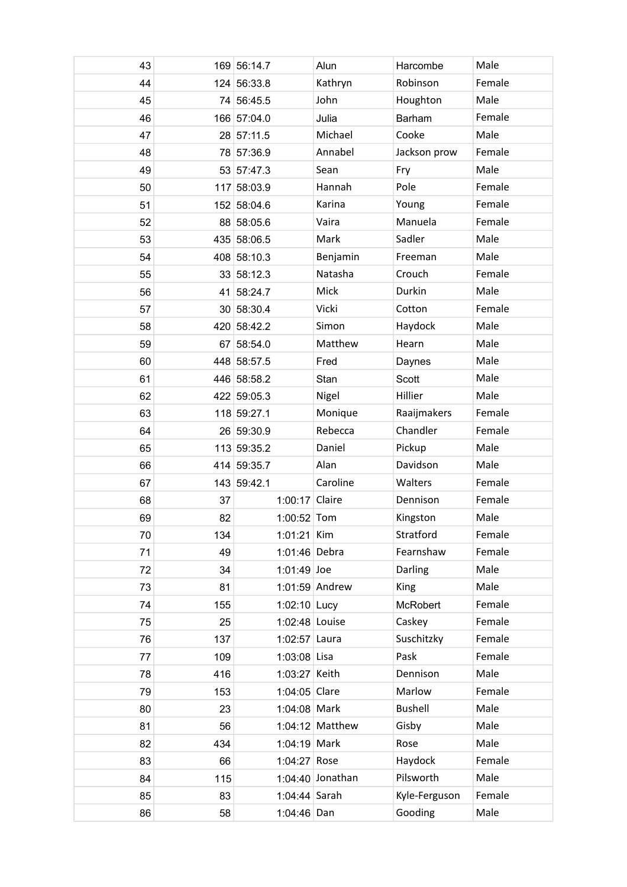| 43 |     | 169 56:14.7    | Alun              | Harcombe       | Male   |
|----|-----|----------------|-------------------|----------------|--------|
| 44 |     | 124 56:33.8    | Kathryn           | Robinson       | Female |
| 45 |     | 74 56:45.5     | John              | Houghton       | Male   |
| 46 |     | 166 57:04.0    | Julia             | Barham         | Female |
| 47 |     | 28 57:11.5     | Michael           | Cooke          | Male   |
| 48 |     | 78 57:36.9     | Annabel           | Jackson prow   | Female |
| 49 |     | 53 57:47.3     | Sean              | Fry            | Male   |
| 50 |     | 117 58:03.9    | Hannah            | Pole           | Female |
| 51 |     | 152 58:04.6    | Karina            | Young          | Female |
| 52 |     | 88 58:05.6     | Vaira             | Manuela        | Female |
| 53 |     | 435 58:06.5    | Mark              | Sadler         | Male   |
| 54 |     | 408 58:10.3    | Benjamin          | Freeman        | Male   |
| 55 |     | 33 58:12.3     | Natasha           | Crouch         | Female |
| 56 |     | 41 58:24.7     | Mick              | Durkin         | Male   |
| 57 |     | 30 58:30.4     | Vicki             | Cotton         | Female |
| 58 |     | 420 58:42.2    | Simon             | Haydock        | Male   |
| 59 |     | 67 58:54.0     | Matthew           | Hearn          | Male   |
| 60 |     | 448 58:57.5    | Fred              | Daynes         | Male   |
| 61 |     | 446 58:58.2    | Stan              | Scott          | Male   |
| 62 |     | 422 59:05.3    | Nigel             | Hillier        | Male   |
| 63 |     | 118 59:27.1    | Monique           | Raaijmakers    | Female |
| 64 |     | 26 59:30.9     | Rebecca           | Chandler       | Female |
| 65 |     | 113 59:35.2    | Daniel            | Pickup         | Male   |
| 66 |     | 414 59:35.7    | Alan              | Davidson       | Male   |
| 67 |     | 143 59:42.1    | Caroline          | Walters        | Female |
| 68 | 37  | 1:00:17 Claire |                   | Dennison       | Female |
| 69 | 82  | 1:00:52 Tom    |                   | Kingston       | Male   |
| 70 | 134 | $1:01:21$ Kim  |                   | Stratford      | Female |
| 71 | 49  | 1:01:46 Debra  |                   | Fearnshaw      | Female |
| 72 | 34  | $1:01:49$ Joe  |                   | Darling        | Male   |
| 73 | 81  |                | 1:01:59 Andrew    | King           | Male   |
| 74 | 155 | 1:02:10 Lucy   |                   | McRobert       | Female |
| 75 | 25  | 1:02:48 Louise |                   | Caskey         | Female |
| 76 | 137 | 1:02:57 Laura  |                   | Suschitzky     | Female |
| 77 | 109 | $1:03:08$ Lisa |                   | Pask           | Female |
| 78 | 416 | 1:03:27 Keith  |                   | Dennison       | Male   |
| 79 | 153 | 1:04:05 Clare  |                   | Marlow         | Female |
| 80 | 23  | 1:04:08 Mark   |                   | <b>Bushell</b> | Male   |
| 81 | 56  |                | $1:04:12$ Matthew | Gisby          | Male   |
| 82 | 434 | 1:04:19 Mark   |                   | Rose           | Male   |
| 83 | 66  | 1:04:27 Rose   |                   | Haydock        | Female |
| 84 | 115 |                | 1:04:40 Jonathan  | Pilsworth      | Male   |
| 85 | 83  | 1:04:44 Sarah  |                   | Kyle-Ferguson  | Female |
| 86 | 58  | 1:04:46 Dan    |                   | Gooding        | Male   |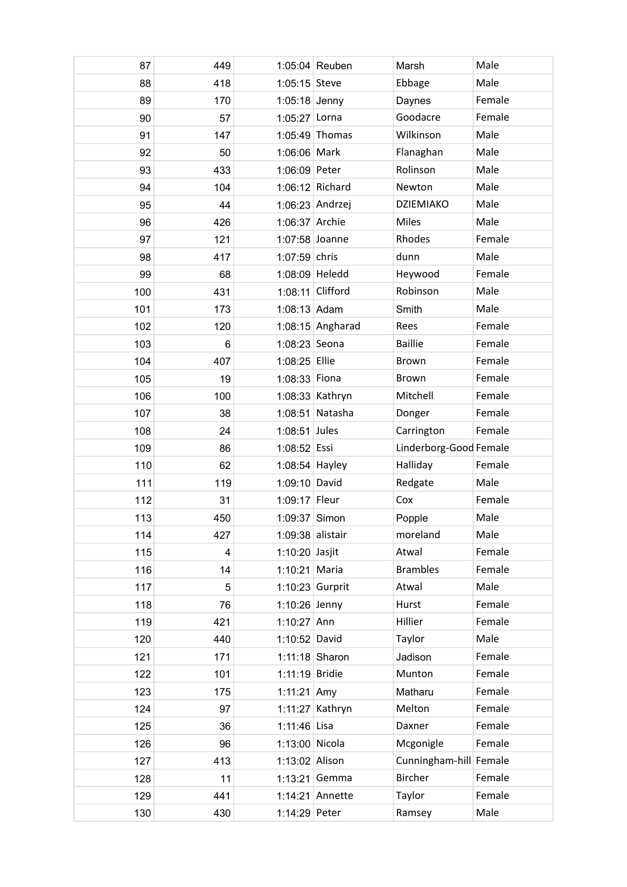| 87  | 449            |                    | 1:05:04 Reuben     | Marsh                  | Male   |
|-----|----------------|--------------------|--------------------|------------------------|--------|
| 88  | 418            | 1:05:15 Steve      |                    | Ebbage                 | Male   |
| 89  | 170            | $1:05:18$ Jenny    |                    | Daynes                 | Female |
| 90  | 57             | $1:05:27$ Lorna    |                    | Goodacre               | Female |
| 91  | 147            |                    | 1:05:49 Thomas     | Wilkinson              | Male   |
| 92  | 50             | 1:06:06 Mark       |                    | Flanaghan              | Male   |
| 93  | 433            | 1:06:09 Peter      |                    | Rolinson               | Male   |
| 94  | 104            |                    | 1:06:12 Richard    | Newton                 | Male   |
| 95  | 44             |                    | 1:06:23 Andrzej    | <b>DZIEMIAKO</b>       | Male   |
| 96  | 426            | 1:06:37 Archie     |                    | Miles                  | Male   |
| 97  | 121            | 1:07:58 Joanne     |                    | Rhodes                 | Female |
| 98  | 417            | $1:07:59$ chris    |                    | dunn                   | Male   |
| 99  | 68             | 1:08:09 Heledd     |                    | Heywood                | Female |
| 100 | 431            | 1:08:11 Clifford   |                    | Robinson               | Male   |
| 101 | 173            | 1:08:13 Adam       |                    | Smith                  | Male   |
| 102 | 120            |                    | $1:08:15$ Angharad | Rees                   | Female |
| 103 | $6\phantom{1}$ | 1:08:23 Seona      |                    | <b>Baillie</b>         | Female |
| 104 | 407            | 1:08:25 Ellie      |                    | Brown                  | Female |
| 105 | 19             | 1:08:33 Fiona      |                    | Brown                  | Female |
| 106 | 100            |                    | $1:08:33$ Kathryn  | Mitchell               | Female |
| 107 | 38             |                    | 1:08:51 Natasha    | Donger                 | Female |
| 108 | 24             | 1:08:51 Jules      |                    | Carrington             | Female |
| 109 | 86             | $1:08:52$ Essi     |                    | Linderborg-Good Female |        |
| 110 | 62             | 1:08:54 Hayley     |                    | Halliday               | Female |
| 111 | 119            | 1:09:10 David      |                    | Redgate                | Male   |
| 112 | 31             | 1:09:17 Fleur      |                    | Cox                    | Female |
| 113 | 450            | 1:09:37 Simon      |                    | Popple                 | Male   |
| 114 | 427            | $1:09:38$ alistair |                    | moreland               | Male   |
| 115 | 4              | $1:10:20$ Jasjit   |                    | Atwal                  | Female |
| 116 | 14             | 1:10:21 Maria      |                    | <b>Brambles</b>        | Female |
| 117 | 5              | 1:10:23 Gurprit    |                    | Atwal                  | Male   |
| 118 | 76             | 1:10:26 Jenny      |                    | Hurst                  | Female |
| 119 | 421            | 1:10:27 Ann        |                    | Hillier                | Female |
| 120 | 440            | 1:10:52 David      |                    | Taylor                 | Male   |
| 121 | 171            | $1:11:18$ Sharon   |                    | Jadison                | Female |
| 122 | 101            | 1:11:19 Bridie     |                    | Munton                 | Female |
| 123 | 175            | 1:11:21 Amy        |                    | Matharu                | Female |
| 124 | 97             |                    | $1:11:27$ Kathryn  | Melton                 | Female |
| 125 | 36             | 1:11:46 Lisa       |                    | Daxner                 | Female |
| 126 | 96             | 1:13:00 Nicola     |                    | Mcgonigle              | Female |
| 127 | 413            | 1:13:02 Alison     |                    | Cunningham-hill Female |        |
| 128 | 11             |                    | 1:13:21 Gemma      | <b>Bircher</b>         | Female |
| 129 | 441            |                    | 1:14:21 Annette    | Taylor                 | Female |
| 130 | 430            | 1:14:29 Peter      |                    | Ramsey                 | Male   |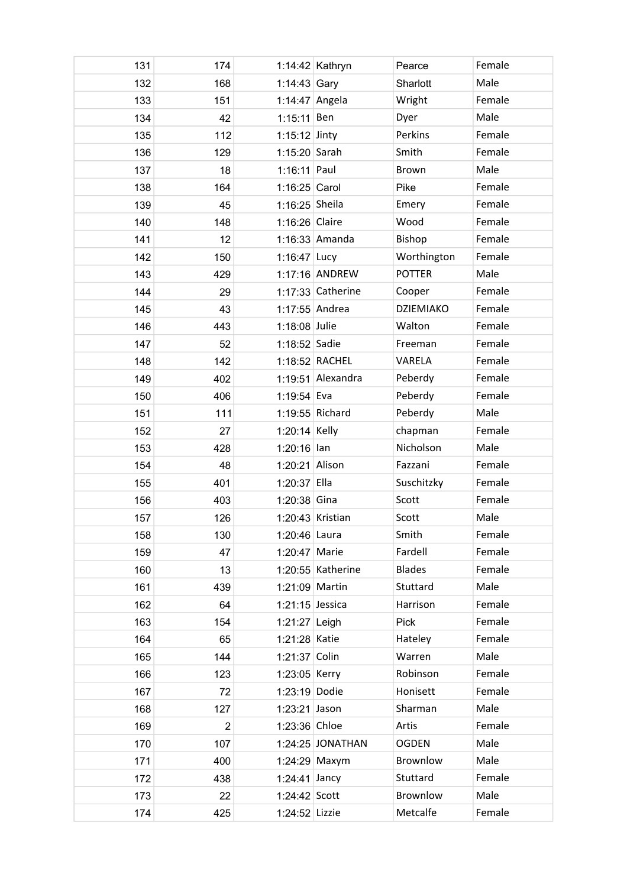| 131 | 174            |                   | 1:14:42 Kathryn   | Pearce           | Female |
|-----|----------------|-------------------|-------------------|------------------|--------|
| 132 | 168            | 1:14:43 Gary      |                   | Sharlott         | Male   |
| 133 | 151            | 1:14:47 Angela    |                   | Wright           | Female |
| 134 | 42             | $1:15:11$ Ben     |                   | Dyer             | Male   |
| 135 | 112            | $1:15:12$ Jinty   |                   | Perkins          | Female |
| 136 | 129            | 1:15:20 Sarah     |                   | Smith            | Female |
| 137 | 18             | $1:16:11$ Paul    |                   | Brown            | Male   |
| 138 | 164            | $1:16:25$ Carol   |                   | Pike             | Female |
| 139 | 45             | 1:16:25 Sheila    |                   | Emery            | Female |
| 140 | 148            | 1:16:26 Claire    |                   | Wood             | Female |
| 141 | 12             |                   | 1:16:33 Amanda    | Bishop           | Female |
| 142 | 150            | 1:16:47 Lucy      |                   | Worthington      | Female |
| 143 | 429            |                   | 1:17:16 ANDREW    | <b>POTTER</b>    | Male   |
| 144 | 29             |                   | 1:17:33 Catherine | Cooper           | Female |
| 145 | 43             | 1:17:55 Andrea    |                   | <b>DZIEMIAKO</b> | Female |
| 146 | 443            | 1:18:08 Julie     |                   | Walton           | Female |
| 147 | 52             | 1:18:52 Sadie     |                   | Freeman          | Female |
| 148 | 142            |                   | 1:18:52 RACHEL    | VARELA           | Female |
| 149 | 402            |                   | 1:19:51 Alexandra | Peberdy          | Female |
| 150 | 406            | 1:19:54 Eva       |                   | Peberdy          | Female |
| 151 | 111            |                   | 1:19:55 Richard   | Peberdy          | Male   |
| 152 | 27             | 1:20:14 Kelly     |                   | chapman          | Female |
| 153 | 428            | $1:20:16$ lan     |                   | Nicholson        | Male   |
| 154 | 48             | 1:20:21 Alison    |                   | Fazzani          | Female |
| 155 | 401            | 1:20:37 Ella      |                   | Suschitzky       | Female |
| 156 | 403            | $1:20:38$ Gina    |                   | Scott            | Female |
| 157 | 126            |                   | 1:20:43 Kristian  | Scott            | Male   |
| 158 | 130            | 1:20:46 Laura     |                   | Smith            | Female |
| 159 | 47             | 1:20:47 Marie     |                   | Fardell          | Female |
| 160 | 13             |                   | 1:20:55 Katherine | <b>Blades</b>    | Female |
| 161 | 439            | 1:21:09 Martin    |                   | Stuttard         | Male   |
| 162 | 64             | $1:21:15$ Jessica |                   | Harrison         | Female |
| 163 | 154            | $1:21:27$ Leigh   |                   | <b>Pick</b>      | Female |
| 164 | 65             | 1:21:28 Katie     |                   | Hateley          | Female |
| 165 | 144            | 1:21:37 Colin     |                   | Warren           | Male   |
| 166 | 123            | 1:23:05 Kerry     |                   | Robinson         | Female |
| 167 | 72             | 1:23:19 Dodie     |                   | Honisett         | Female |
| 168 | 127            | $1:23:21$ Jason   |                   | Sharman          | Male   |
| 169 | $\overline{2}$ | 1:23:36 Chloe     |                   | Artis            | Female |
| 170 | 107            |                   | 1:24:25 JONATHAN  | <b>OGDEN</b>     | Male   |
| 171 | 400            |                   | 1:24:29 Maxym     | Brownlow         | Male   |
| 172 | 438            | $1:24:41$ Jancy   |                   | Stuttard         | Female |
| 173 | 22             | $1:24:42$ Scott   |                   | Brownlow         | Male   |
| 174 | 425            | 1:24:52 Lizzie    |                   | Metcalfe         | Female |